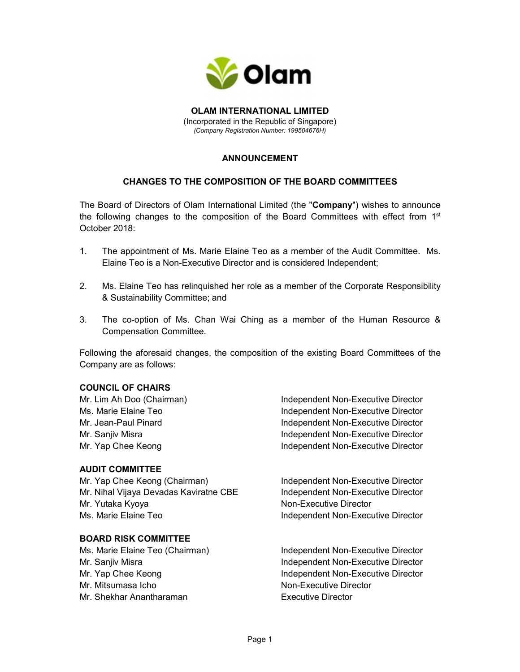

OLAM INTERNATIONAL LIMITED (Incorporated in the Republic of Singapore) (Company Registration Number: 199504676H)

# ANNOUNCEMENT

## CHANGES TO THE COMPOSITION OF THE BOARD COMMITTEES

The Board of Directors of Olam International Limited (the "Company") wishes to announce the following changes to the composition of the Board Committees with effect from 1<sup>st</sup> October 2018:

- 1. The appointment of Ms. Marie Elaine Teo as a member of the Audit Committee. Ms. Elaine Teo is a Non-Executive Director and is considered Independent;
- 2. Ms. Elaine Teo has relinquished her role as a member of the Corporate Responsibility & Sustainability Committee; and
- 3. The co-option of Ms. Chan Wai Ching as a member of the Human Resource & Compensation Committee.

Following the aforesaid changes, the composition of the existing Board Committees of the Company are as follows:

## COUNCIL OF CHAIRS

## AUDIT COMMITTEE

Mr. Yap Chee Keong (Chairman) **Independent Non-Executive Director** Mr. Nihal Vijaya Devadas Kaviratne CBE lindependent Non-Executive Director Mr. Yutaka Kyoya Non-Executive Director Ms. Marie Elaine Teo **Independent Non-Executive Director** 

#### BOARD RISK COMMITTEE

Mr. Mitsumasa Icho Non-Executive Director Mr. Shekhar Anantharaman **Executive Director** 

Mr. Lim Ah Doo (Chairman) **Independent Non-Executive Director** Ms. Marie Elaine Teo **Independent Non-Executive Director** Mr. Jean-Paul Pinard Independent Non-Executive Director Mr. Sanjiv Misra **Independent Non-Executive Director** Mr. Yap Chee Keong **Independent Non-Executive Director** 

Ms. Marie Elaine Teo (Chairman) **Independent Non-Executive Director** Mr. Sanjiv Misra **Independent Non-Executive Director** Mr. Yap Chee Keong **Independent Non-Executive Director**